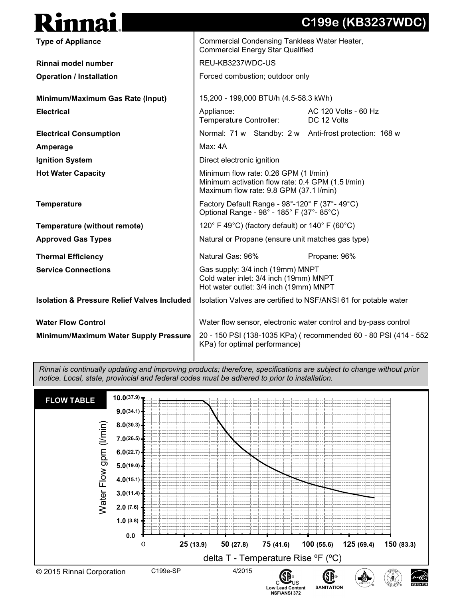## **Type of Appliance Rinnai model number Operation / Installation Minimum/Maximum Gas Rate (Input) Electrical Electrical Consumption Amperage Ignition System Hot Water Capacity Temperature Temperature (without remote) Approved Gas Types Thermal Efficiency Service Connections Isolation & Pressure Relief Valves Included Water Flow Control Minimum/Maximum Water Supply Pressure** Commercial Condensing Tankless Water Heater, Commercial Energy Star Qualified REU-KB3237WDC-US Forced combustion; outdoor only 15,200 - 199,000 BTU/h (4.5-58.3 kWh) Appliance: AC 120 Volts - 60 Hz Temperature Controller: DC 12 Volts Normal: 71 w Standby: 2 w Anti-frost protection: 168 w Max: 4A Direct electronic ignition Minimum flow rate: 0.26 GPM (1 l/min) Minimum activation flow rate: 0.4 GPM (1.5 l/min) Maximum flow rate: 9.8 GPM (37.1 l/min) Factory Default Range - 98°-120° F (37°- 49°C) Optional Range - 98° - 185° F (37°- 85°C) 120° F 49°C) (factory default) or 140° F (60°C) Natural or Propane (ensure unit matches gas type) Natural Gas:  $96\%$  Propane:  $96\%$ Gas supply: 3/4 inch (19mm) MNPT Cold water inlet: 3/4 inch (19mm) MNPT Hot water outlet: 3/4 inch (19mm) MNPT Isolation Valves are certified to NSF/ANSI 61 for potable water Water flow sensor, electronic water control and by-pass control 20 - 150 PSI (138-1035 KPa) ( recommended 60 - 80 PSI (414 - 552 KPa) for optimal performance)

**C199e (KB3237WDC)** 

*Rinnai is continually updating and improving products; therefore, specifications are subject to change without prior notice. Local, state, provincial and federal codes must be adhered to prior to installation.*